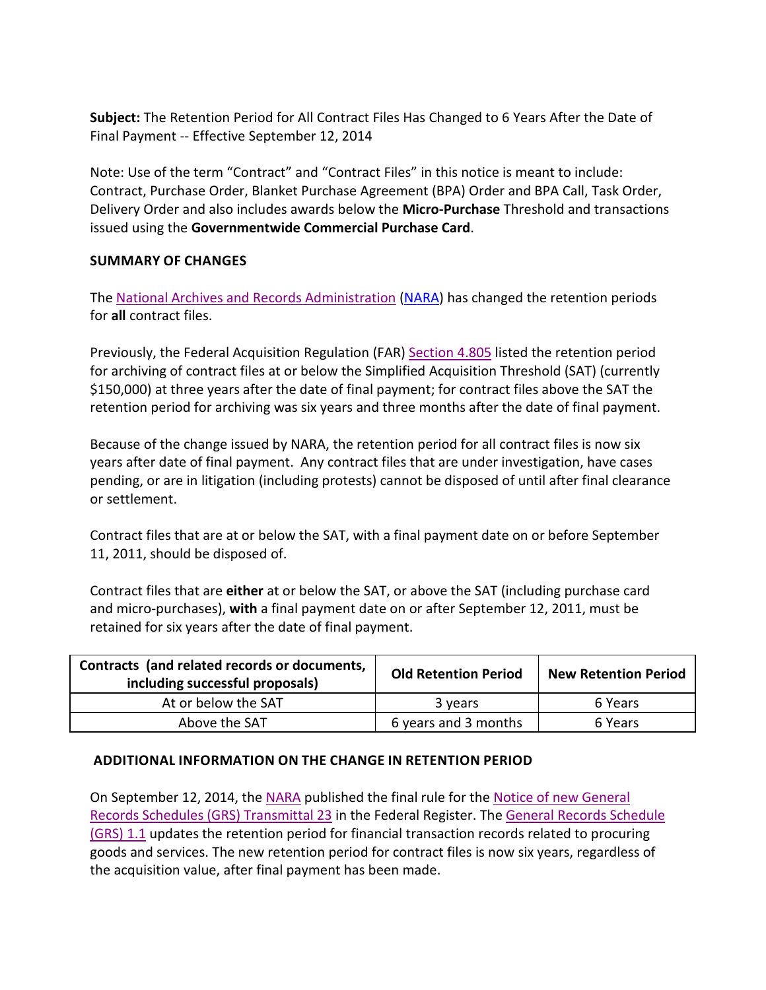**Subject:** The Retention Period for All Contract Files Has Changed to 6 Years After the Date of Final Payment -- Effective September 12, 2014

Note: Use of the term "Contract" and "Contract Files" in this notice is meant to include: Contract, Purchase Order, Blanket Purchase Agreement (BPA) Order and BPA Call, Task Order, Delivery Order and also includes awards below the **Micro-Purchase** Threshold and transactions issued using the **Governmentwide Commercial Purchase Card**.

## **SUMMARY OF CHANGES**

The [National Archives and Records Administration](http://www.archives.gov/) [\(NARA\)](http://www.archives.gov/) has changed the retention periods for **all** contract files.

Previously, the Federal Acquisition Regulation (FAR) [Section 4.805](https://www.acquisition.gov/sites/default/files/current/far/html/Subpart%204_8.html) listed the retention period for archiving of contract files at or below the Simplified Acquisition Threshold (SAT) (currently \$150,000) at three years after the date of final payment; for contract files above the SAT the retention period for archiving was six years and three months after the date of final payment.

Because of the change issued by NARA, the retention period for all contract files is now six years after date of final payment. Any contract files that are under investigation, have cases pending, or are in litigation (including protests) cannot be disposed of until after final clearance or settlement.

Contract files that are at or below the SAT, with a final payment date on or before September 11, 2011, should be disposed of.

Contract files that are **either** at or below the SAT, or above the SAT (including purchase card and micro-purchases), **with** a final payment date on or after September 12, 2011, must be retained for six years after the date of final payment.

| Contracts (and related records or documents,<br>including successful proposals) | <b>Old Retention Period</b> | <b>New Retention Period</b> |
|---------------------------------------------------------------------------------|-----------------------------|-----------------------------|
| At or below the SAT                                                             | 3 years                     | 6 Years                     |
| Above the SAT                                                                   | 6 years and 3 months        | 6 Years                     |

## **ADDITIONAL INFORMATION ON THE CHANGE IN RETENTION PERIOD**

On September 12, 2014, the [NARA](http://www.archives.gov/) published the final rule for the [Notice of new General](http://www.gpo.gov/fdsys/pkg/FR-2014-09-12/pdf/2014-21756.pdf)  [Records Schedules \(GRS\) Transmittal 23](http://www.gpo.gov/fdsys/pkg/FR-2014-09-12/pdf/2014-21756.pdf) in the Federal Register. The [General Records Schedule](https://www.archives.gov/records-mgmt/grs.html)  [\(GRS\) 1.1](https://www.archives.gov/records-mgmt/grs.html) updates the retention period for financial transaction records related to procuring goods and services. The new retention period for contract files is now six years, regardless of the acquisition value, after final payment has been made.